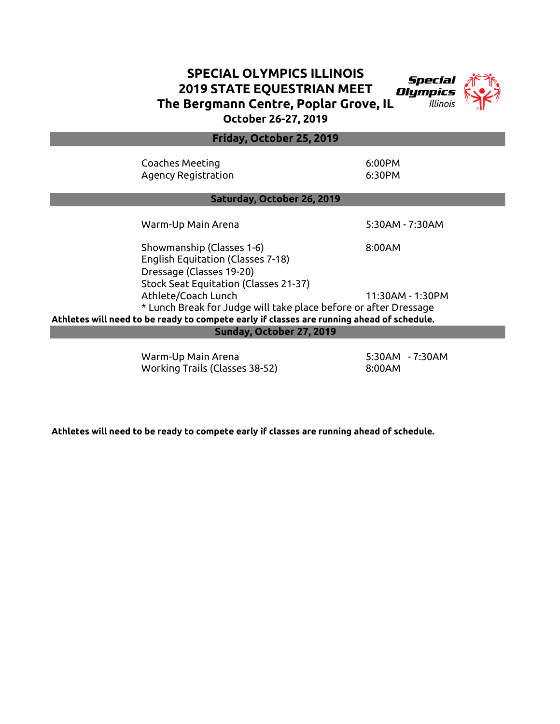## SPECIAL OLYMPICS ILLINOIS 2019 STATE EQUESTRIAN MEET Olumpics The Bergmann Centre, Poplar Grove, IL October 26-27, 2019



Coaches Meeting 6:00 and 6:00 PM Agency Registration 6:30PM Warm-Up Main Arena 5:30AM - 7:30AM Showmanship (Classes 1-6) 8:00AM English Equitation (Classes 7-18) Dressage (Classes 19-20) Stock Seat Equitation (Classes 21-37) Athlete/Coach Lunch 11:30AM - 1:30PM \* Lunch Break for Judge will take place before or after Dressage Athletes will need to be ready to compete early if classes are running ahead of schedule. Saturday, October 26, 2019 Sunday, October 27, 2019 Friday, October 25, 2019

> Warm-Up Main Arena 5:30AM - 7:30AM Working Trails (Classes 38-52) 8:00AM

Athletes will need to be ready to compete early if classes are running ahead of schedule.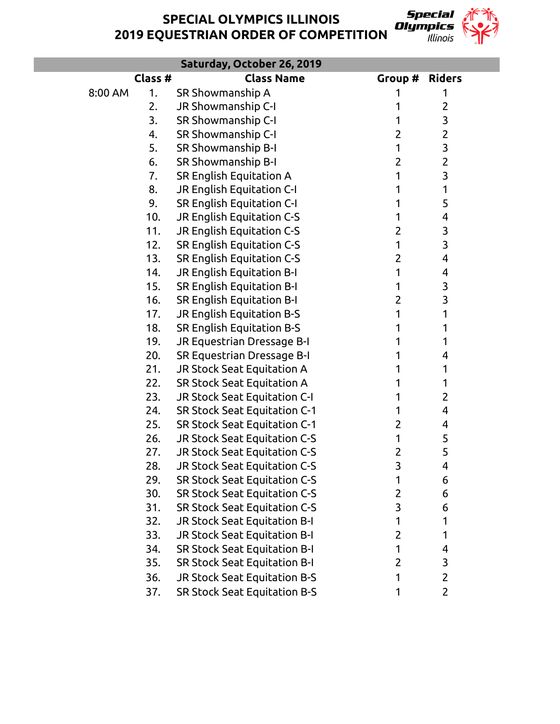SPECIAL OLYMPICS ILLINOIS 2019 EQUESTRIAN ORDER OF COMPETITION



|         |         | Saturday, October 26, 2019          |                |                         |  |
|---------|---------|-------------------------------------|----------------|-------------------------|--|
|         | Class # | <b>Class Name</b>                   | Group #        | <b>Riders</b>           |  |
| 8:00 AM | 1.      | SR Showmanship A                    | 1              | 1                       |  |
|         | 2.      | JR Showmanship C-I                  | 1              | $\overline{2}$          |  |
|         | 3.      | SR Showmanship C-I                  | 1              | 3                       |  |
|         | 4.      | SR Showmanship C-I                  | 2              | $\overline{2}$          |  |
|         | 5.      | SR Showmanship B-I                  | 1              | 3                       |  |
|         | 6.      | SR Showmanship B-I                  | $\overline{2}$ | $\overline{2}$          |  |
|         | 7.      | SR English Equitation A             | 1              | $\overline{\mathbf{3}}$ |  |
|         | 8.      | JR English Equitation C-I           | 1              | 1                       |  |
|         | 9.      | SR English Equitation C-I           | 1              | 5                       |  |
|         | 10.     | JR English Equitation C-S           | 1              | 4                       |  |
|         | 11.     | JR English Equitation C-S           | $\overline{2}$ | 3                       |  |
|         | 12.     | SR English Equitation C-S           | 1              | 3                       |  |
|         | 13.     | SR English Equitation C-S           | $\overline{2}$ | 4                       |  |
|         | 14.     | JR English Equitation B-I           | 1              | 4                       |  |
|         | 15.     | SR English Equitation B-I           | 1              | 3                       |  |
|         | 16.     | SR English Equitation B-I           | $\overline{2}$ | 3                       |  |
|         | 17.     | JR English Equitation B-S           |                | 1                       |  |
|         | 18.     | SR English Equitation B-S           |                | 1                       |  |
|         | 19.     | JR Equestrian Dressage B-I          |                | 1                       |  |
|         | 20.     | SR Equestrian Dressage B-I          | 1              | 4                       |  |
|         | 21.     | JR Stock Seat Equitation A          |                | 1                       |  |
|         | 22.     | SR Stock Seat Equitation A          |                | 1                       |  |
|         | 23.     | JR Stock Seat Equitation C-I        |                | $\overline{2}$          |  |
|         | 24.     | SR Stock Seat Equitation C-1        | 1              | 4                       |  |
|         | 25.     | SR Stock Seat Equitation C-1        | $\overline{2}$ | 4                       |  |
|         | 26.     | JR Stock Seat Equitation C-S        | 1              | 5                       |  |
|         | 27.     | JR Stock Seat Equitation C-S        | 2              | 5                       |  |
|         | 28.     | JR Stock Seat Equitation C-S        | 3              | 4                       |  |
|         | 29.     | <b>SR Stock Seat Equitation C-S</b> | 1              | 6                       |  |
|         | 30.     | SR Stock Seat Equitation C-S        | 2              | 6                       |  |
|         | 31.     | <b>SR Stock Seat Equitation C-S</b> | 3              | 6                       |  |
|         | 32.     | JR Stock Seat Equitation B-I        | 1              | 1                       |  |
|         | 33.     | JR Stock Seat Equitation B-I        | 2              | 1                       |  |
|         | 34.     | <b>SR Stock Seat Equitation B-I</b> | 1              | 4                       |  |
|         | 35.     | SR Stock Seat Equitation B-I        | 2              | 3                       |  |
|         | 36.     | JR Stock Seat Equitation B-S        | 1              | $\overline{2}$          |  |
|         | 37.     | SR Stock Seat Equitation B-S        |                | $\overline{2}$          |  |